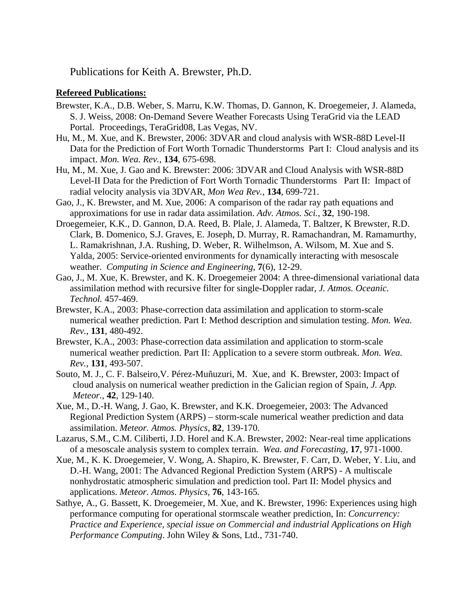Publications for Keith A. Brewster, Ph.D.

## **Refereed Publications:**

- Brewster, K.A., D.B. Weber, S. Marru, K.W. Thomas, D. Gannon, K. Droegemeier, J. Alameda, S. J. Weiss, 2008: On-Demand Severe Weather Forecasts Using TeraGrid via the LEAD Portal. Proceedings, TeraGrid08, Las Vegas, NV.
- Hu, M., M. Xue, and K. Brewster, 2006: 3DVAR and cloud analysis with WSR-88D Level-II Data for the Prediction of Fort Worth Tornadic Thunderstorms Part I: Cloud analysis and its impact. *Mon. Wea. Rev.*, **134**, 675-698.
- Hu, M., M. Xue, J. Gao and K. Brewster: 2006: 3DVAR and Cloud Analysis with WSR-88D Level-II Data for the Prediction of Fort Worth Tornadic Thunderstorms Part II: Impact of radial velocity analysis via 3DVAR, *Mon Wea Rev.*, **134**, 699-721.
- Gao, J., K. Brewster, and M. Xue, 2006: A comparison of the radar ray path equations and approximations for use in radar data assimilation. *Adv. Atmos. Sci.,* **32**, 190-198.
- Droegemeier, K.K., D. Gannon, D.A. Reed, B. Plale, J. Alameda, T. Baltzer, K Brewster, R.D. Clark, B. Domenico, S.J. Graves, E. Joseph, D. Murray, R. Ramachandran, M. Ramamurthy, L. Ramakrishnan, J.A. Rushing, D. Weber, R. Wilhelmson, A. Wilsom, M. Xue and S. Yalda, 2005: Service-oriented environments for dynamically interacting with mesoscale weather. *Computing in Science and Engineering*, **7**(6), 12-29.
- Gao, J., M. Xue, K. Brewster, and K. K. Droegemeier 2004: A three-dimensional variational data assimilation method with recursive filter for single-Doppler radar, *J. Atmos. Oceanic. Technol.* 457-469.
- Brewster, K.A., 2003: Phase-correction data assimilation and application to storm-scale numerical weather prediction. Part I: Method description and simulation testing. *Mon. Wea. Rev.*, **131**, 480-492.
- Brewster, K.A., 2003: Phase-correction data assimilation and application to storm-scale numerical weather prediction. Part II: Application to a severe storm outbreak. *Mon. Wea. Rev.*, **131**, 493-507.
- Souto, M. J., C. F. Balseiro,V. Pérez-Muñuzuri, M. Xue, and K. Brewster, 2003: Impact of cloud analysis on numerical weather prediction in the Galician region of Spain, *J. App. Meteor.*, **42**, 129-140.
- Xue, M., D.-H. Wang, J. Gao, K. Brewster, and K.K. Droegemeier, 2003: The Advanced Regional Prediction System (ARPS) – storm-scale numerical weather prediction and data assimilation. *Meteor. Atmos. Physics*, **82**, 139-170.
- Lazarus, S.M., C.M. Ciliberti, J.D. Horel and K.A. Brewster, 2002: Near-real time applications of a mesoscale analysis system to complex terrain. *Wea. and Forecasting*, **17**, 971-1000.
- Xue, M., K. K. Droegemeier, V. Wong, A. Shapiro, K. Brewster, F. Carr, D. Weber, Y. Liu, and D.-H. Wang, 2001: The Advanced Regional Prediction System (ARPS) - A multiscale nonhydrostatic atmospheric simulation and prediction tool. Part II: Model physics and applications. *Meteor. Atmos. Physics,* **76**, 143-165*.*
- Sathye, A., G. Bassett, K. Droegemeier, M. Xue, and K. Brewster, 1996: Experiences using high performance computing for operational stormscale weather prediction, In: *Concurrency: Practice and Experience, special issue on Commercial and industrial Applications on High Performance Computing*. John Wiley & Sons, Ltd., 731-740.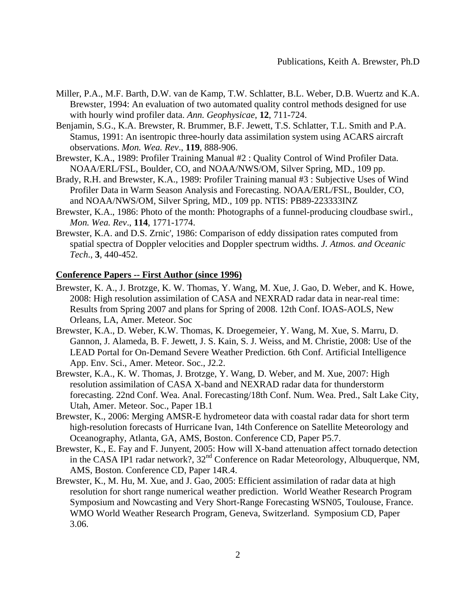- Miller, P.A., M.F. Barth, D.W. van de Kamp, T.W. Schlatter, B.L. Weber, D.B. Wuertz and K.A. Brewster, 1994: An evaluation of two automated quality control methods designed for use with hourly wind profiler data. *Ann. Geophysicae*, **12**, 711-724.
- Benjamin, S.G., K.A. Brewster, R. Brummer, B.F. Jewett, T.S. Schlatter, T.L. Smith and P.A. Stamus, 1991: An isentropic three-hourly data assimilation system using ACARS aircraft observations. *Mon. Wea. Rev*., **119**, 888-906.
- Brewster, K.A., 1989: Profiler Training Manual #2 : Quality Control of Wind Profiler Data. NOAA/ERL/FSL, Boulder, CO, and NOAA/NWS/OM, Silver Spring, MD., 109 pp.
- Brady, R.H. and Brewster, K.A., 1989: Profiler Training manual #3 : Subjective Uses of Wind Profiler Data in Warm Season Analysis and Forecasting. NOAA/ERL/FSL, Boulder, CO, and NOAA/NWS/OM, Silver Spring, MD., 109 pp. NTIS: PB89-223333INZ
- Brewster, K.A., 1986: Photo of the month: Photographs of a funnel-producing cloudbase swirl., *Mon. Wea. Rev*., **114**, 1771-1774.
- Brewster, K.A. and D.S. Zrnic', 1986: Comparison of eddy dissipation rates computed from spatial spectra of Doppler velocities and Doppler spectrum widths*. J. Atmos. and Oceanic Tech*., **3**, 440-452.

## **Conference Papers -- First Author (since 1996)**

- Brewster, K. A., J. Brotzge, K. W. Thomas, Y. Wang, M. Xue, J. Gao, D. Weber, and K. Howe, 2008: High resolution assimilation of CASA and NEXRAD radar data in near-real time: Results from Spring 2007 and plans for Spring of 2008. 12th Conf. IOAS-AOLS, New Orleans, LA, Amer. Meteor. Soc
- Brewster, K.A., D. Weber, K.W. Thomas, K. Droegemeier, Y. Wang, M. Xue, S. Marru, D. Gannon, J. Alameda, B. F. Jewett, J. S. Kain, S. J. Weiss, and M. Christie, 2008: Use of the LEAD Portal for On-Demand Severe Weather Prediction. 6th Conf. Artificial Intelligence App. Env. Sci., Amer. Meteor. Soc., J2.2.
- Brewster, K.A., K. W. Thomas, J. Brotzge, Y. Wang, D. Weber, and M. Xue, 2007: High resolution assimilation of CASA X-band and NEXRAD radar data for thunderstorm forecasting. 22nd Conf. Wea. Anal. Forecasting/18th Conf. Num. Wea. Pred., Salt Lake City, Utah, Amer. Meteor. Soc., Paper 1B.1
- Brewster, K., 2006: Merging AMSR-E hydrometeor data with coastal radar data for short term high-resolution forecasts of Hurricane Ivan, 14th Conference on Satellite Meteorology and Oceanography, Atlanta, GA, AMS, Boston. Conference CD, Paper P5.7.
- Brewster, K., E. Fay and F. Junyent, 2005: How will X-band attenuation affect tornado detection in the CASA IP1 radar network?,  $32<sup>nd</sup>$  Conference on Radar Meteorology, Albuquerque, NM, AMS, Boston. Conference CD, Paper 14R.4.
- Brewster, K., M. Hu, M. Xue, and J. Gao, 2005: Efficient assimilation of radar data at high resolution for short range numerical weather prediction. World Weather Research Program Symposium and Nowcasting and Very Short-Range Forecasting WSN05, Toulouse, France. WMO World Weather Research Program, Geneva, Switzerland. Symposium CD, Paper 3.06.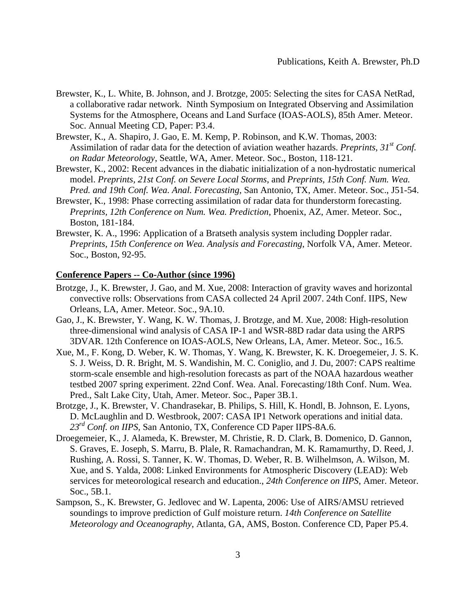- Brewster, K., L. White, B. Johnson, and J. Brotzge, 2005: Selecting the sites for CASA NetRad, a collaborative radar network. Ninth Symposium on Integrated Observing and Assimilation Systems for the Atmosphere, Oceans and Land Surface (IOAS-AOLS), 85th Amer. Meteor. Soc. Annual Meeting CD, Paper: P3.4.
- Brewster, K., A. Shapiro, J. Gao, E. M. Kemp, P. Robinson, and K.W. Thomas, 2003: Assimilation of radar data for the detection of aviation weather hazards. *Preprints, 31st Conf. on Radar Meteorology*, Seattle, WA, Amer. Meteor. Soc., Boston, 118-121.
- Brewster, K., 2002: Recent advances in the diabatic initialization of a non-hydrostatic numerical model. *Preprints, 21st Conf. on Severe Local Storms*, and *Preprints, 15th Conf. Num. Wea. Pred. and 19th Conf. Wea. Anal. Forecasting*, San Antonio, TX, Amer. Meteor. Soc., J51-54.
- Brewster, K., 1998: Phase correcting assimilation of radar data for thunderstorm forecasting. *Preprints, 12th Conference on Num. Wea. Prediction*, Phoenix, AZ, Amer. Meteor. Soc., Boston, 181-184.
- Brewster, K. A., 1996: Application of a Bratseth analysis system including Doppler radar. *Preprints, 15th Conference on Wea. Analysis and Forecasting*, Norfolk VA, Amer. Meteor. Soc., Boston, 92-95.

## **Conference Papers -- Co-Author (since 1996)**

- Brotzge, J., K. Brewster, J. Gao, and M. Xue, 2008: Interaction of gravity waves and horizontal convective rolls: Observations from CASA collected 24 April 2007. 24th Conf. IIPS, New Orleans, LA, Amer. Meteor. Soc., 9A.10.
- Gao, J., K. Brewster, Y. Wang, K. W. Thomas, J. Brotzge, and M. Xue, 2008: High-resolution three-dimensional wind analysis of CASA IP-1 and WSR-88D radar data using the ARPS 3DVAR. 12th Conference on IOAS-AOLS, New Orleans, LA, Amer. Meteor. Soc., 16.5.
- Xue, M., F. Kong, D. Weber, K. W. Thomas, Y. Wang, K. Brewster, K. K. Droegemeier, J. S. K. S. J. Weiss, D. R. Bright, M. S. Wandishin, M. C. Coniglio, and J. Du, 2007: CAPS realtime storm-scale ensemble and high-resolution forecasts as part of the NOAA hazardous weather testbed 2007 spring experiment. 22nd Conf. Wea. Anal. Forecasting/18th Conf. Num. Wea. Pred., Salt Lake City, Utah, Amer. Meteor. Soc., Paper 3B.1.
- Brotzge, J., K. Brewster, V. Chandrasekar, B. Philips, S. Hill, K. Hondl, B. Johnson, E. Lyons, D. McLaughlin and D. Westbrook, 2007: CASA IP1 Network operations and initial data. *23rd Conf. on IIPS*, San Antonio, TX, Conference CD Paper IIPS-8A.6.
- Droegemeier, K., J. Alameda, K. Brewster, M. Christie, R. D. Clark, B. Domenico, D. Gannon, S. Graves, E. Joseph, S. Marru, B. Plale, R. Ramachandran, M. K. Ramamurthy, D. Reed, J. Rushing, A. Rossi, S. Tanner, K. W. Thomas, D. Weber, R. B. Wilhelmson, A. Wilson, M. Xue, and S. Yalda, 2008: Linked Environments for Atmospheric Discovery (LEAD): Web services for meteorological research and education., *24th Conference on IIPS*, Amer. Meteor. Soc., 5B.1.
- Sampson, S., K. Brewster, G. Jedlovec and W. Lapenta, 2006: Use of AIRS/AMSU retrieved soundings to improve prediction of Gulf moisture return. *14th Conference on Satellite Meteorology and Oceanography*, Atlanta, GA, AMS, Boston. Conference CD, Paper P5.4.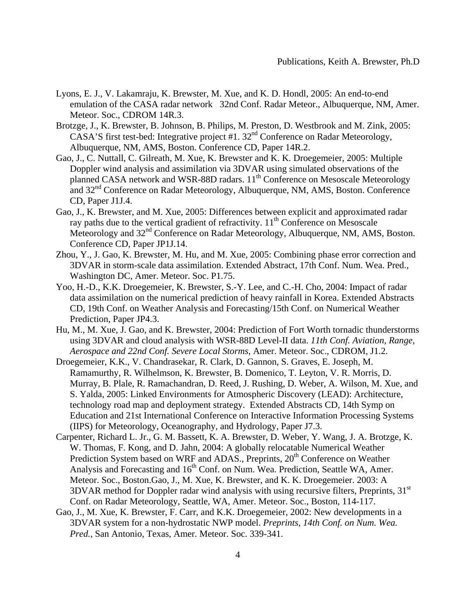- Lyons, E. J., V. Lakamraju, K. Brewster, M. Xue, and K. D. Hondl, 2005: An end-to-end emulation of the CASA radar network 32nd Conf. Radar Meteor., Albuquerque, NM, Amer. Meteor. Soc., CDROM 14R.3.
- Brotzge, J., K. Brewster, B. Johnson, B. Philips, M. Preston, D. Westbrook and M. Zink, 2005: CASA'S first test-bed: Integrative project #1.  $32<sup>nd</sup>$  Conference on Radar Meteorology, Albuquerque, NM, AMS, Boston. Conference CD, Paper 14R.2.
- Gao, J., C. Nuttall, C. Gilreath, M. Xue, K. Brewster and K. K. Droegemeier, 2005: Multiple Doppler wind analysis and assimilation via 3DVAR using simulated observations of the planned CASA network and WSR-88D radars.  $11<sup>th</sup>$  Conference on Mesoscale Meteorology and 32<sup>nd</sup> Conference on Radar Meteorology, Albuquerque, NM, AMS, Boston. Conference CD, Paper J1J.4.
- Gao, J., K. Brewster, and M. Xue, 2005: Differences between explicit and approximated radar ray paths due to the vertical gradient of refractivity.  $11<sup>th</sup>$  Conference on Mesoscale Meteorology and  $32<sup>nd</sup>$  Conference on Radar Meteorology, Albuquerque, NM, AMS, Boston. Conference CD, Paper JP1J.14.
- Zhou, Y., J. Gao, K. Brewster, M. Hu, and M. Xue, 2005: Combining phase error correction and 3DVAR in storm-scale data assimilation. Extended Abstract, 17th Conf. Num. Wea. Pred., Washington DC, Amer. Meteor. Soc. P1.75.
- Yoo, H.-D., K.K. Droegemeier, K. Brewster, S.-Y. Lee, and C.-H. Cho, 2004: Impact of radar data assimilation on the numerical prediction of heavy rainfall in Korea. Extended Abstracts CD, 19th Conf. on Weather Analysis and Forecasting/15th Conf. on Numerical Weather Prediction, Paper JP4.3.
- Hu, M., M. Xue, J. Gao, and K. Brewster, 2004: Prediction of Fort Worth tornadic thunderstorms using 3DVAR and cloud analysis with WSR-88D Level-II data. *11th Conf. Aviation, Range, Aerospace and 22nd Conf. Severe Local Storms*, Amer. Meteor. Soc., CDROM, J1.2.
- Droegemeier, K.K., V. Chandrasekar, R. Clark, D. Gannon, S. Graves, E. Joseph, M. Ramamurthy, R. Wilhelmson, K. Brewster, B. Domenico, T. Leyton, V. R. Morris, D. Murray, B. Plale, R. Ramachandran, D. Reed, J. Rushing, D. Weber, A. Wilson, M. Xue, and S. Yalda, 2005: Linked Environments for Atmospheric Discovery (LEAD): Architecture, technology road map and deployment strategy. Extended Abstracts CD, 14th Symp on Education and 21st International Conference on Interactive Information Processing Systems (IIPS) for Meteorology, Oceanography, and Hydrology, Paper J7.3.
- Carpenter, Richard L. Jr., G. M. Bassett, K. A. Brewster, D. Weber, Y. Wang, J. A. Brotzge, K. W. Thomas, F. Kong, and D. Jahn, 2004: A globally relocatable Numerical Weather Prediction System based on WRF and ADAS., Preprints, 20<sup>th</sup> Conference on Weather Analysis and Forecasting and  $16<sup>th</sup>$  Conf. on Num. Wea. Prediction, Seattle WA, Amer. Meteor. Soc., Boston.Gao, J., M. Xue, K. Brewster, and K. K. Droegemeier. 2003: A  $3DVAR$  method for Doppler radar wind analysis with using recursive filters, Preprints,  $31<sup>st</sup>$ Conf. on Radar Meteorology, Seattle, WA, Amer. Meteor. Soc., Boston, 114-117.
- Gao, J., M. Xue, K. Brewster, F. Carr, and K.K. Droegemeier, 2002: New developments in a 3DVAR system for a non-hydrostatic NWP model. *Preprints, 14th Conf. on Num. Wea. Pred.*, San Antonio, Texas, Amer. Meteor. Soc. 339-341.